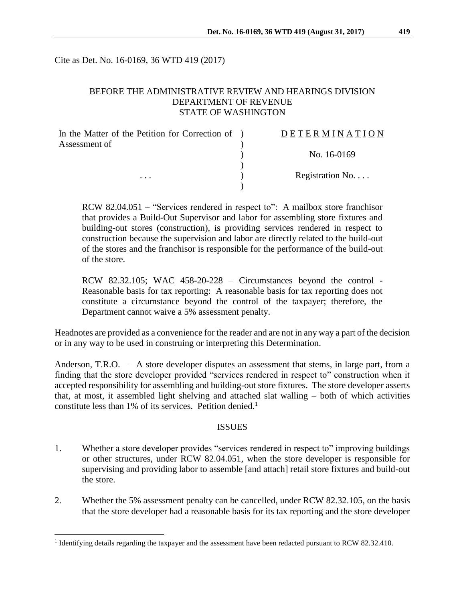Cite as Det. No. 16-0169, 36 WTD 419 (2017)

### BEFORE THE ADMINISTRATIVE REVIEW AND HEARINGS DIVISION DEPARTMENT OF REVENUE STATE OF WASHINGTON

| In the Matter of the Petition for Correction of )<br>Assessment of | DETERMINATION            |
|--------------------------------------------------------------------|--------------------------|
| .                                                                  | No. 16-0169              |
|                                                                    | Registration No. $\dots$ |
|                                                                    |                          |

RCW 82.04.051 – "Services rendered in respect to": A mailbox store franchisor that provides a Build-Out Supervisor and labor for assembling store fixtures and building-out stores (construction), is providing services rendered in respect to construction because the supervision and labor are directly related to the build-out of the stores and the franchisor is responsible for the performance of the build-out of the store.

RCW 82.32.105; WAC 458-20-228 – Circumstances beyond the control - Reasonable basis for tax reporting: A reasonable basis for tax reporting does not constitute a circumstance beyond the control of the taxpayer; therefore, the Department cannot waive a 5% assessment penalty.

Headnotes are provided as a convenience for the reader and are not in any way a part of the decision or in any way to be used in construing or interpreting this Determination.

Anderson, T.R.O. – A store developer disputes an assessment that stems, in large part, from a finding that the store developer provided "services rendered in respect to" construction when it accepted responsibility for assembling and building-out store fixtures. The store developer asserts that, at most, it assembled light shelving and attached slat walling – both of which activities constitute less than 1% of its services. Petition denied.<sup>1</sup>

### ISSUES

- 1. Whether a store developer provides "services rendered in respect to" improving buildings or other structures, under RCW 82.04.051, when the store developer is responsible for supervising and providing labor to assemble [and attach] retail store fixtures and build-out the store.
- 2. Whether the 5% assessment penalty can be cancelled, under RCW 82.32.105, on the basis that the store developer had a reasonable basis for its tax reporting and the store developer

 $\overline{a}$ 

<sup>&</sup>lt;sup>1</sup> Identifying details regarding the taxpayer and the assessment have been redacted pursuant to RCW 82.32.410.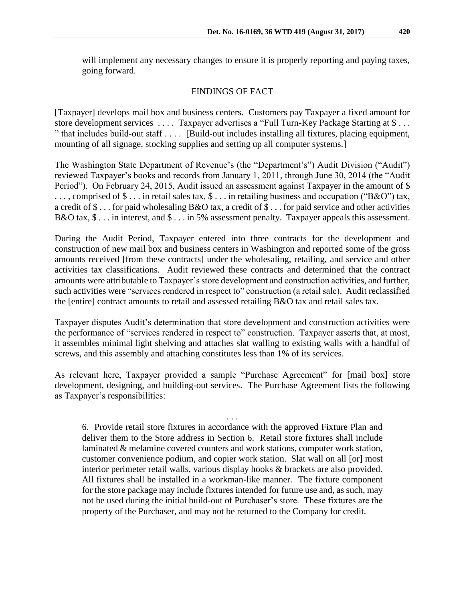will implement any necessary changes to ensure it is properly reporting and paying taxes, going forward.

### FINDINGS OF FACT

[Taxpayer] develops mail box and business centers. Customers pay Taxpayer a fixed amount for store development services . . . . Taxpayer advertises a "Full Turn-Key Package Starting at \$ . . . " that includes build-out staff . . . . [Build-out includes installing all fixtures, placing equipment, mounting of all signage, stocking supplies and setting up all computer systems.]

The Washington State Department of Revenue's (the "Department's") Audit Division ("Audit") reviewed Taxpayer's books and records from January 1, 2011, through June 30, 2014 (the "Audit Period"). On February 24, 2015, Audit issued an assessment against Taxpayer in the amount of \$ . . . , comprised of \$ . . . in retail sales tax, \$ . . . in retailing business and occupation ("B&O") tax, a credit of \$ . . . for paid wholesaling B&O tax, a credit of \$ . . . for paid service and other activities B&O tax, \$ . . . in interest, and \$ . . . in 5% assessment penalty. Taxpayer appeals this assessment.

During the Audit Period, Taxpayer entered into three contracts for the development and construction of new mail box and business centers in Washington and reported some of the gross amounts received [from these contracts] under the wholesaling, retailing, and service and other activities tax classifications. Audit reviewed these contracts and determined that the contract amounts were attributable to Taxpayer's store development and construction activities, and further, such activities were "services rendered in respect to" construction (a retail sale). Audit reclassified the [entire] contract amounts to retail and assessed retailing B&O tax and retail sales tax.

Taxpayer disputes Audit's determination that store development and construction activities were the performance of "services rendered in respect to" construction. Taxpayer asserts that, at most, it assembles minimal light shelving and attaches slat walling to existing walls with a handful of screws, and this assembly and attaching constitutes less than 1% of its services.

As relevant here, Taxpayer provided a sample "Purchase Agreement" for [mail box] store development, designing, and building-out services. The Purchase Agreement lists the following as Taxpayer's responsibilities:

. . . 6. Provide retail store fixtures in accordance with the approved Fixture Plan and deliver them to the Store address in Section 6. Retail store fixtures shall include laminated & melamine covered counters and work stations, computer work station, customer convenience podium, and copier work station. Slat wall on all [or] most interior perimeter retail walls, various display hooks & brackets are also provided. All fixtures shall be installed in a workman-like manner. The fixture component for the store package may include fixtures intended for future use and, as such, may not be used during the initial build-out of Purchaser's store. These fixtures are the property of the Purchaser, and may not be returned to the Company for credit.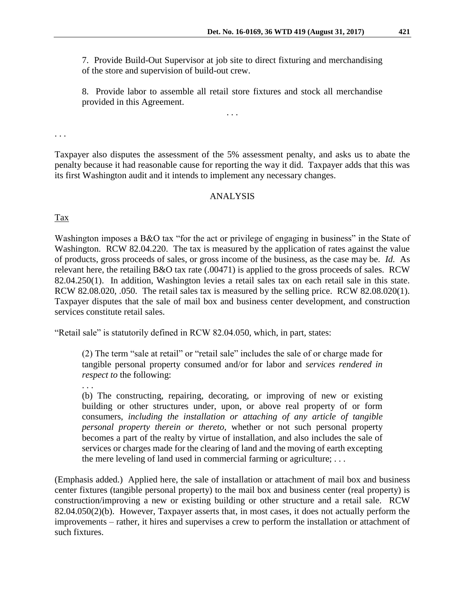7. Provide Build-Out Supervisor at job site to direct fixturing and merchandising of the store and supervision of build-out crew.

8. Provide labor to assemble all retail store fixtures and stock all merchandise provided in this Agreement.

. . .

. . .

Taxpayer also disputes the assessment of the 5% assessment penalty, and asks us to abate the penalty because it had reasonable cause for reporting the way it did. Taxpayer adds that this was its first Washington audit and it intends to implement any necessary changes.

# ANALYSIS

Tax

Washington imposes a B&O tax "for the act or privilege of engaging in business" in the State of Washington. RCW 82.04.220. The tax is measured by the application of rates against the value of products, gross proceeds of sales, or gross income of the business, as the case may be. *Id.* As relevant here, the retailing B&O tax rate (.00471) is applied to the gross proceeds of sales. RCW 82.04.250(1). In addition, Washington levies a retail sales tax on each retail sale in this state. RCW 82.08.020, .050. The retail sales tax is measured by the selling price. RCW 82.08.020(1). Taxpayer disputes that the sale of mail box and business center development, and construction services constitute retail sales.

"Retail sale" is statutorily defined in RCW 82.04.050, which, in part, states:

(2) The term "sale at retail" or "retail sale" includes the sale of or charge made for tangible personal property consumed and/or for labor and *services rendered in respect to* the following:

. . .

(b) The constructing, repairing, decorating, or improving of new or existing building or other structures under, upon, or above real property of or form consumers, *including the installation or attaching of any article of tangible personal property therein or thereto,* whether or not such personal property becomes a part of the realty by virtue of installation, and also includes the sale of services or charges made for the clearing of land and the moving of earth excepting the mere leveling of land used in commercial farming or agriculture; . . .

(Emphasis added.) Applied here, the sale of installation or attachment of mail box and business center fixtures (tangible personal property) to the mail box and business center (real property) is construction/improving a new or existing building or other structure and a retail sale. RCW 82.04.050(2)(b). However, Taxpayer asserts that, in most cases, it does not actually perform the improvements – rather, it hires and supervises a crew to perform the installation or attachment of such fixtures.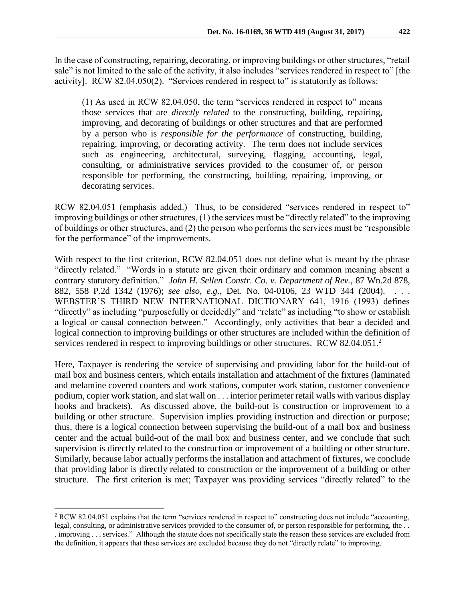In the case of constructing, repairing, decorating, or improving buildings or other structures, "retail sale" is not limited to the sale of the activity, it also includes "services rendered in respect to" [the activity]. RCW 82.04.050(2). "Services rendered in respect to" is statutorily as follows:

(1) As used in RCW 82.04.050, the term "services rendered in respect to" means those services that are *directly related* to the constructing, building, repairing, improving, and decorating of buildings or other structures and that are performed by a person who is *responsible for the performance* of constructing, building, repairing, improving, or decorating activity. The term does not include services such as engineering, architectural, surveying, flagging, accounting, legal, consulting, or administrative services provided to the consumer of, or person responsible for performing, the constructing, building, repairing, improving, or decorating services.

RCW 82.04.051 (emphasis added.) Thus, to be considered "services rendered in respect to" improving buildings or other structures, (1) the services must be "directly related" to the improving of buildings or other structures, and (2) the person who performs the services must be "responsible for the performance" of the improvements.

With respect to the first criterion, RCW 82.04.051 does not define what is meant by the phrase "directly related." "Words in a statute are given their ordinary and common meaning absent a contrary statutory definition." *John H. Sellen Constr. Co. v. Department of Rev.,* 87 Wn.2d 878, 882, 558 P.2d 1342 (1976); *see also, e.g.,* Det. No. 04-0106, 23 WTD 344 (2004). . . . WEBSTER'S THIRD NEW INTERNATIONAL DICTIONARY 641, 1916 (1993) defines "directly" as including "purposefully or decidedly" and "relate" as including "to show or establish a logical or causal connection between." Accordingly, only activities that bear a decided and logical connection to improving buildings or other structures are included within the definition of services rendered in respect to improving buildings or other structures. RCW 82.04.051.<sup>2</sup>

Here, Taxpayer is rendering the service of supervising and providing labor for the build-out of mail box and business centers, which entails installation and attachment of the fixtures (laminated and melamine covered counters and work stations, computer work station, customer convenience podium, copier work station, and slat wall on . . . interior perimeter retail walls with various display hooks and brackets). As discussed above, the build-out is construction or improvement to a building or other structure. Supervision implies providing instruction and direction or purpose; thus, there is a logical connection between supervising the build-out of a mail box and business center and the actual build-out of the mail box and business center, and we conclude that such supervision is directly related to the construction or improvement of a building or other structure. Similarly, because labor actually performs the installation and attachment of fixtures, we conclude that providing labor is directly related to construction or the improvement of a building or other structure. The first criterion is met; Taxpayer was providing services "directly related" to the

 $\overline{a}$ 

<sup>2</sup> RCW 82.04.051 explains that the term "services rendered in respect to" constructing does not include "accounting, legal, consulting, or administrative services provided to the consumer of, or person responsible for performing, the . . . improving . . . services." Although the statute does not specifically state the reason these services are excluded from the definition, it appears that these services are excluded because they do not "directly relate" to improving.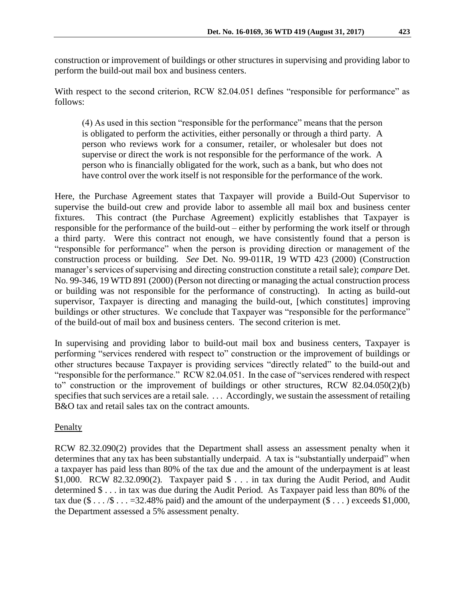construction or improvement of buildings or other structures in supervising and providing labor to perform the build-out mail box and business centers.

With respect to the second criterion, RCW 82.04.051 defines "responsible for performance" as follows:

(4) As used in this section "responsible for the performance" means that the person is obligated to perform the activities, either personally or through a third party. A person who reviews work for a consumer, retailer, or wholesaler but does not supervise or direct the work is not responsible for the performance of the work. A person who is financially obligated for the work, such as a bank, but who does not have control over the work itself is not responsible for the performance of the work.

Here, the Purchase Agreement states that Taxpayer will provide a Build-Out Supervisor to supervise the build-out crew and provide labor to assemble all mail box and business center fixtures. This contract (the Purchase Agreement) explicitly establishes that Taxpayer is responsible for the performance of the build-out – either by performing the work itself or through a third party. Were this contract not enough, we have consistently found that a person is "responsible for performance" when the person is providing direction or management of the construction process or building. *See* Det. No. 99-011R, 19 WTD 423 (2000) (Construction manager's services of supervising and directing construction constitute a retail sale); *compare* Det. No. 99-346, 19 WTD 891 (2000) (Person not directing or managing the actual construction process or building was not responsible for the performance of constructing). In acting as build-out supervisor, Taxpayer is directing and managing the build-out, [which constitutes] improving buildings or other structures. We conclude that Taxpayer was "responsible for the performance" of the build-out of mail box and business centers. The second criterion is met.

In supervising and providing labor to build-out mail box and business centers, Taxpayer is performing "services rendered with respect to" construction or the improvement of buildings or other structures because Taxpayer is providing services "directly related" to the build-out and "responsible for the performance." RCW 82.04.051. In the case of "services rendered with respect to" construction or the improvement of buildings or other structures, RCW 82.04.050(2)(b) specifies that such services are a retail sale. . . . Accordingly, we sustain the assessment of retailing B&O tax and retail sales tax on the contract amounts.

# **Penalty**

RCW 82.32.090(2) provides that the Department shall assess an assessment penalty when it determines that any tax has been substantially underpaid. A tax is "substantially underpaid" when a taxpayer has paid less than 80% of the tax due and the amount of the underpayment is at least \$1,000. RCW 82.32.090(2). Taxpayer paid \$ . . . in tax during the Audit Period, and Audit determined \$ . . . in tax was due during the Audit Period. As Taxpayer paid less than 80% of the tax due  $(\$ \dots \$ \dots = 32.48\%$  paid) and the amount of the underpayment  $(\$ \dots)$  exceeds \$1,000, the Department assessed a 5% assessment penalty.